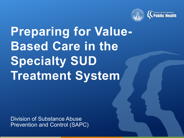

# **Preparing for Value-Based Care in the Specialty SUD Treatment System**

Division of Substance Abuse Prevention and Control (SAPC)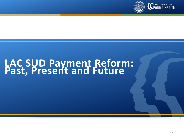

# **LAC SUD Payment Reform: Past, Present and Future**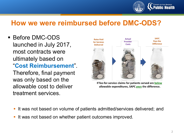

## **How we were reimbursed before DMC-ODS?**

**Before DMC-ODS** launched in July 2017, most contracts were ultimately based on "**Cost Reimbursement**". Therefore, final payment was only based on the allowable cost to deliver treatment services.



If fee-for-service claims for patients served are below allowable expenditures, SAPC pays the difference.

- If was not based on volume of patients admitted/services delivered; and
- It was not based on whether patient outcomes improved.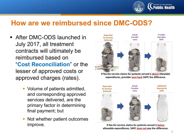

## **How are we reimbursed since DMC-ODS?**

- **After DMC-ODS launched in** July 2017, all treatment contracts will ultimately be reimbursed based on "**Cost Reconciliation**" or the lesser of approved costs or approved charges (rates).
	- Volume of patients admitted, and corresponding approved services delivered, are the primary factor in determining final payment; but
	- Not whether patient outcomes improve.



If fee-for-service claims for patients served is above allowable expenditures, provider pays back SAPC the difference.



If fee-for-service claims for patients served is below allowable expenditures, SAPC does not pay the difference.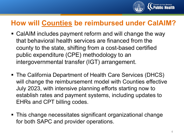

# **How will Counties be reimbursed under CalAIM?**

- CalAIM includes payment reform and will change the way that behavioral health services are financed from the county to the state, shifting from a cost-based certified public expenditure (CPE) methodology to an intergovernmental transfer (IGT) arrangement.
- The California Department of Health Care Services (DHCS) will change the reimbursement model with Counties effective July 2023, with intensive planning efforts starting now to establish rates and payment systems, including updates to EHRs and CPT billing codes.
- This change necessitates significant organizational change for both SAPC and provider operations.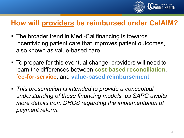

# **How will providers be reimbursed under CalAIM?**

- The broader trend in Medi-Cal financing is towards incentivizing patient care that improves patient outcomes, also known as value-based care.
- To prepare for this eventual change, providers will need to learn the differences between **cost-based reconciliation**, **fee-for-service**, and **value-based reimbursement**.
- *This presentation is intended to provide a conceptual understanding of these financing models, as SAPC awaits more details from DHCS regarding the implementation of payment reform.*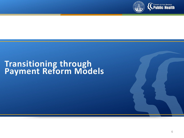

# **Transitioning through Payment Reform Models**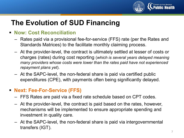

# **The Evolution of SUD Financing**

#### **Now: Cost Reconciliation**

- Rates paid via a provisional fee-for-service (FFS) rate (per the Rates and Standards Matrices) to the facilitate monthly claiming process.
- At the provider-level, the contract is ultimately settled at lesser of costs or charges (rates) during cost reporting (*which is several years delayed meaning many providers whose costs were lower than the rates paid have not experienced repayment plans yet*).
- At the SAPC-level, the non-federal share is paid via certified public expenditures (CPE), with payments often being significantly delayed.

#### **Next: Fee-For-Service (FFS)**

- FFS Rates are paid via a fixed rate schedule based on CPT codes.
- At the provider-level, the contract is paid based on the rates, however, mechanisms will be implemented to ensure appropriate spending and investment in quality care.
- At the SAPC-level, the non-federal share is paid via intergovernmental transfers (IGT).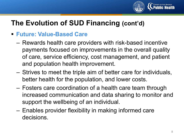

# **The Evolution of SUD Financing (cont'd)**

### **Future: Value-Based Care**

- Rewards health care providers with risk-based incentive payments focused on improvements in the overall quality of care, service efficiency, cost management, and patient and population health improvement.
- Strives to meet the triple aim of better care for individuals, better health for the population, and lower costs.
- Fosters care coordination of a health care team through increased communication and data sharing to monitor and support the wellbeing of an individual.
- Enables provider flexibility in making informed care decisions.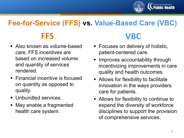

# **Fee-for-Service (FFS) vs. Value-Based Care (VBC)**

- Also known as volume-based care, FFS incentives are based on increased volume and quantity of services rendered.
- Financial incentive is focused on quantity as opposed to quality.
- Unbundled services.
- May enable a fragmented health care system.

# **FFS VBC**

- **Focuses on delivery of holistic,** patient-centered care.
- **Improves accountability through** incentivizing improvements in care quality and health outcomes.
- **Allows for flexibility to facilitate** innovation in the ways providers care for patients.
- Allows for flexibility to continue to expand the diversity of workforce disciplines to support the provision of comprehensive services.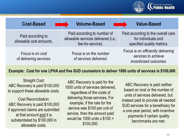

| <b>Cost-Based</b>                            | <b>Volume-Based</b>                                                                     | <b>Value-Based</b>                                                                      |
|----------------------------------------------|-----------------------------------------------------------------------------------------|-----------------------------------------------------------------------------------------|
| Paid according to<br>allowable cost amounts. | Paid according to number of<br>allowable services delivered (i.e.,<br>fee-for-service). | Paid according to the overall care<br>for individuals and<br>specified quality metrics. |
| Focus is on cost<br>of delivering services.  | Focus is on the <i>number</i><br>of services delivered.                                 | Focus is on efficiently delivering<br>services to achieve<br>incentivized outcomes.     |

#### **Example: Cost for one LPHA and five SUD counselors to deliver 1000 units of services is \$100,000**

Straight Cost: ABC Recovery is paid \$100,000 to support these allowable costs.

Cost Reconciliation: ABC Recovery is paid \$100,000 if approved claims are submitted at that amount and it is substantiated by \$100,000 in allowable costs.

ABC Recovery is paid for the 1000 units of services delivered, regardless of the costs of delivering those services. For example, if the rate for the service was \$100 per unit of service, then the amount paid would be 1000 units x \$100 = \$100,000.

ABC Recovery is paid neither based on cost or the number of units of services delivered, but instead paid to provide all needed SUD services for a beneficiary for a one-year period, with incentive payments if certain quality benchmarks are met.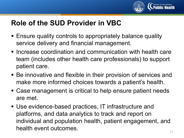

# **Role of the SUD Provider in VBC**

- Ensure quality controls to appropriately balance quality service delivery and financial management.
- **Increase coordination and communication with health care** team (includes other health care professionals) to support patient care.
- Be innovative and flexible in their provision of services and make more informed choices towards a patient's health.
- Case management is critical to help ensure patient needs are met.
- Use evidence-based practices, IT infrastructure and platforms, and data analytics to track and report on individual and population health, patient engagement, and health event outcomes.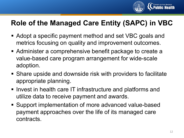

# **Role of the Managed Care Entity (SAPC) in VBC**

- Adopt a specific payment method and set VBC goals and metrics focusing on quality and improvement outcomes.
- Administer a comprehensive benefit package to create a value-based care program arrangement for wide-scale adoption.
- Share upside and downside risk with providers to facilitate appropriate planning.
- **Invest in health care IT infrastructure and platforms and** utilize data to receive payment and awards.
- Support implementation of more advanced value-based payment approaches over the life of its managed care contracts.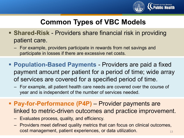

# **Common Types of VBC Models**

- **Shared-Risk** Providers share financial risk in providing patient care.
	- For example, providers participate in rewards from net savings and participate in losses if there are excessive net costs.
- **Population-Based Payments**  Providers are paid a fixed payment amount per patient for a period of time; wide array of services are covered for a specified period of time.
	- For example, all patient health care needs are covered over the course of year and is independent of the number of services needed.
- **Pay-for-Performance (P4P)** Provider payments are linked to metric-driven outcomes and practice improvement.
	- Evaluates process, quality, and efficiency.
	- Providers meet defined quality metrics that can focus on clinical outcomes, cost management, patient experiences, or data utilization.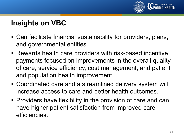

# **Insights on VBC**

- Can facilitate financial sustainability for providers, plans, and governmental entities.
- Rewards health care providers with risk-based incentive payments focused on improvements in the overall quality of care, service efficiency, cost management, and patient and population health improvement.
- Coordinated care and a streamlined delivery system will increase access to care and better health outcomes.
- **Providers have flexibility in the provision of care and can** have higher patient satisfaction from improved care efficiencies.